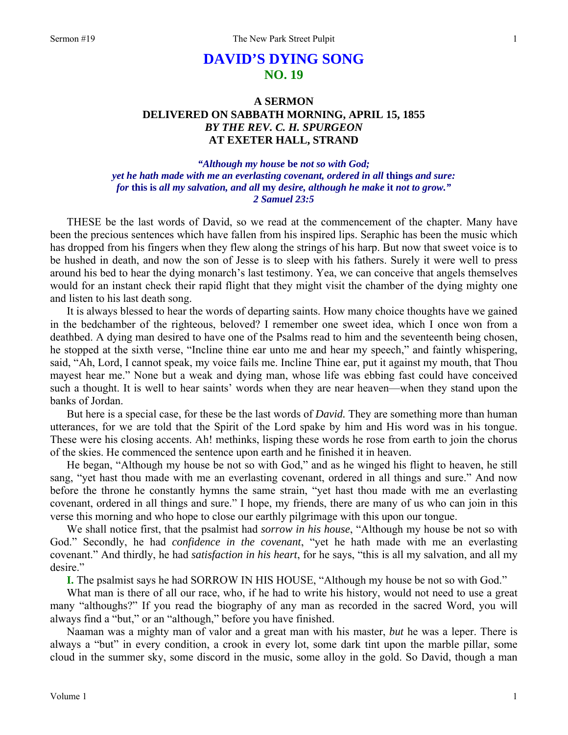# **DAVID'S DYING SONG NO. 19**

# **A SERMON DELIVERED ON SABBATH MORNING, APRIL 15, 1855**  *BY THE REV. C. H. SPURGEON*  **AT EXETER HALL, STRAND**

## *"Although my house* **be** *not so with God; yet he hath made with me an everlasting covenant, ordered in all* **things** *and sure: for* **this is** *all my salvation, and all* **my** *desire, although he make* **it** *not to grow." 2 Samuel 23:5*

THESE be the last words of David, so we read at the commencement of the chapter. Many have been the precious sentences which have fallen from his inspired lips. Seraphic has been the music which has dropped from his fingers when they flew along the strings of his harp. But now that sweet voice is to be hushed in death, and now the son of Jesse is to sleep with his fathers. Surely it were well to press around his bed to hear the dying monarch's last testimony. Yea, we can conceive that angels themselves would for an instant check their rapid flight that they might visit the chamber of the dying mighty one and listen to his last death song.

It is always blessed to hear the words of departing saints. How many choice thoughts have we gained in the bedchamber of the righteous, beloved? I remember one sweet idea, which I once won from a deathbed. A dying man desired to have one of the Psalms read to him and the seventeenth being chosen, he stopped at the sixth verse, "Incline thine ear unto me and hear my speech," and faintly whispering, said, "Ah, Lord, I cannot speak, my voice fails me. Incline Thine ear, put it against my mouth, that Thou mayest hear me." None but a weak and dying man, whose life was ebbing fast could have conceived such a thought. It is well to hear saints' words when they are near heaven—when they stand upon the banks of Jordan.

But here is a special case, for these be the last words of *David.* They are something more than human utterances, for we are told that the Spirit of the Lord spake by him and His word was in his tongue. These were his closing accents. Ah! methinks, lisping these words he rose from earth to join the chorus of the skies. He commenced the sentence upon earth and he finished it in heaven.

He began, "Although my house be not so with God," and as he winged his flight to heaven, he still sang, "yet hast thou made with me an everlasting covenant, ordered in all things and sure." And now before the throne he constantly hymns the same strain, "yet hast thou made with me an everlasting covenant, ordered in all things and sure." I hope, my friends, there are many of us who can join in this verse this morning and who hope to close our earthly pilgrimage with this upon our tongue.

We shall notice first, that the psalmist had *sorrow in his house*, "Although my house be not so with God." Secondly, he had *confidence in the covenant*, "yet he hath made with me an everlasting covenant." And thirdly, he had *satisfaction in his heart*, for he says, "this is all my salvation, and all my desire."

**I.** The psalmist says he had SORROW IN HIS HOUSE, "Although my house be not so with God."

What man is there of all our race, who, if he had to write his history, would not need to use a great many "althoughs?" If you read the biography of any man as recorded in the sacred Word, you will always find a "but," or an "although," before you have finished.

Naaman was a mighty man of valor and a great man with his master, *but* he was a leper. There is always a "but" in every condition, a crook in every lot, some dark tint upon the marble pillar, some cloud in the summer sky, some discord in the music, some alloy in the gold. So David, though a man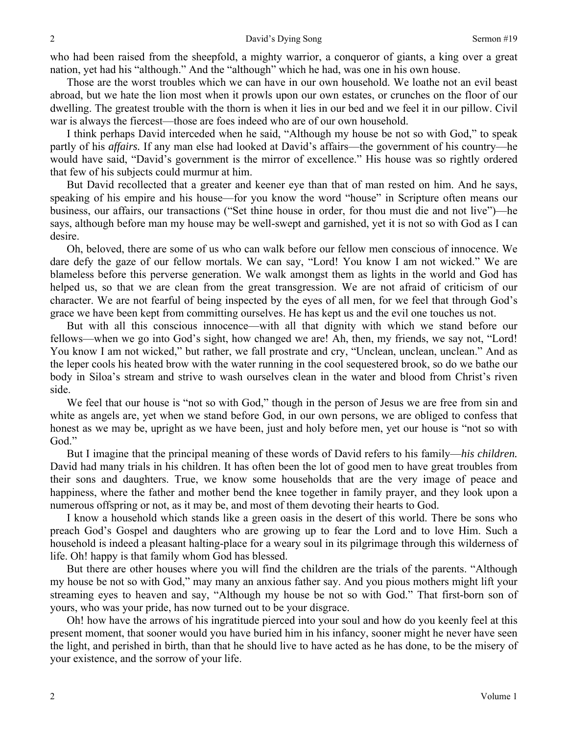who had been raised from the sheepfold, a mighty warrior, a conqueror of giants, a king over a great nation, yet had his "although." And the "although" which he had, was one in his own house.

Those are the worst troubles which we can have in our own household. We loathe not an evil beast abroad, but we hate the lion most when it prowls upon our own estates, or crunches on the floor of our dwelling. The greatest trouble with the thorn is when it lies in our bed and we feel it in our pillow. Civil war is always the fiercest—those are foes indeed who are of our own household.

I think perhaps David interceded when he said, "Although my house be not so with God," to speak partly of his *affairs.* If any man else had looked at David's affairs—the government of his country—he would have said, "David's government is the mirror of excellence." His house was so rightly ordered that few of his subjects could murmur at him.

But David recollected that a greater and keener eye than that of man rested on him. And he says, speaking of his empire and his house—for you know the word "house" in Scripture often means our business, our affairs, our transactions ("Set thine house in order, for thou must die and not live")—he says, although before man my house may be well-swept and garnished, yet it is not so with God as I can desire.

Oh, beloved, there are some of us who can walk before our fellow men conscious of innocence. We dare defy the gaze of our fellow mortals. We can say, "Lord! You know I am not wicked." We are blameless before this perverse generation. We walk amongst them as lights in the world and God has helped us, so that we are clean from the great transgression. We are not afraid of criticism of our character. We are not fearful of being inspected by the eyes of all men, for we feel that through God's grace we have been kept from committing ourselves. He has kept us and the evil one touches us not.

But with all this conscious innocence—with all that dignity with which we stand before our fellows—when we go into God's sight, how changed we are! Ah, then, my friends, we say not, "Lord! You know I am not wicked," but rather, we fall prostrate and cry, "Unclean, unclean, unclean." And as the leper cools his heated brow with the water running in the cool sequestered brook, so do we bathe our body in Siloa's stream and strive to wash ourselves clean in the water and blood from Christ's riven side.

We feel that our house is "not so with God," though in the person of Jesus we are free from sin and white as angels are, yet when we stand before God, in our own persons, we are obliged to confess that honest as we may be, upright as we have been, just and holy before men, yet our house is "not so with God."

But I imagine that the principal meaning of these words of David refers to his family—*his children.*  David had many trials in his children. It has often been the lot of good men to have great troubles from their sons and daughters. True, we know some households that are the very image of peace and happiness, where the father and mother bend the knee together in family prayer, and they look upon a numerous offspring or not, as it may be, and most of them devoting their hearts to God.

I know a household which stands like a green oasis in the desert of this world. There be sons who preach God's Gospel and daughters who are growing up to fear the Lord and to love Him. Such a household is indeed a pleasant halting-place for a weary soul in its pilgrimage through this wilderness of life. Oh! happy is that family whom God has blessed.

But there are other houses where you will find the children are the trials of the parents. "Although my house be not so with God," may many an anxious father say. And you pious mothers might lift your streaming eyes to heaven and say, "Although my house be not so with God." That first-born son of yours, who was your pride, has now turned out to be your disgrace.

Oh! how have the arrows of his ingratitude pierced into your soul and how do you keenly feel at this present moment, that sooner would you have buried him in his infancy, sooner might he never have seen the light, and perished in birth, than that he should live to have acted as he has done, to be the misery of your existence, and the sorrow of your life.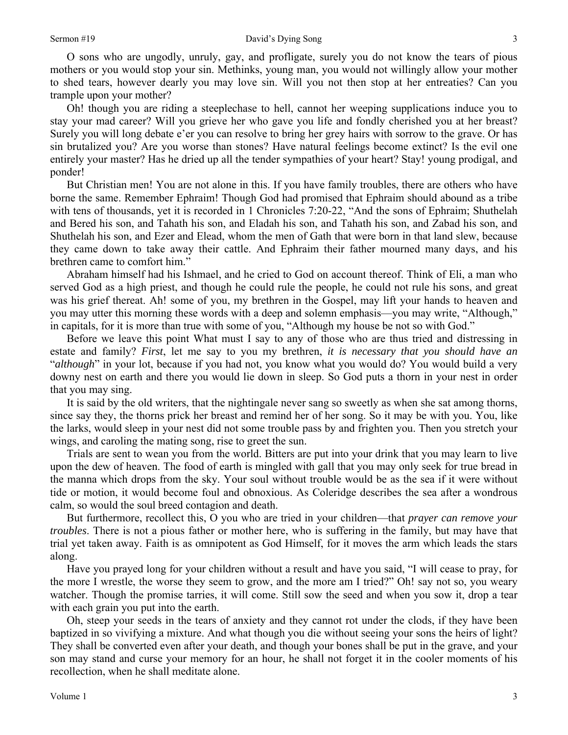O sons who are ungodly, unruly, gay, and profligate, surely you do not know the tears of pious mothers or you would stop your sin. Methinks, young man, you would not willingly allow your mother to shed tears, however dearly you may love sin. Will you not then stop at her entreaties? Can you trample upon your mother?

Oh! though you are riding a steeplechase to hell, cannot her weeping supplications induce you to stay your mad career? Will you grieve her who gave you life and fondly cherished you at her breast? Surely you will long debate e'er you can resolve to bring her grey hairs with sorrow to the grave. Or has sin brutalized you? Are you worse than stones? Have natural feelings become extinct? Is the evil one entirely your master? Has he dried up all the tender sympathies of your heart? Stay! young prodigal, and ponder!

But Christian men! You are not alone in this. If you have family troubles, there are others who have borne the same. Remember Ephraim! Though God had promised that Ephraim should abound as a tribe with tens of thousands, yet it is recorded in 1 Chronicles 7:20-22, "And the sons of Ephraim; Shuthelah and Bered his son, and Tahath his son, and Eladah his son, and Tahath his son, and Zabad his son, and Shuthelah his son, and Ezer and Elead, whom the men of Gath that were born in that land slew, because they came down to take away their cattle. And Ephraim their father mourned many days, and his brethren came to comfort him."

Abraham himself had his Ishmael, and he cried to God on account thereof. Think of Eli, a man who served God as a high priest, and though he could rule the people, he could not rule his sons, and great was his grief thereat. Ah! some of you, my brethren in the Gospel, may lift your hands to heaven and you may utter this morning these words with a deep and solemn emphasis—you may write, "Although," in capitals, for it is more than true with some of you, "Although my house be not so with God."

Before we leave this point What must I say to any of those who are thus tried and distressing in estate and family? *First*, let me say to you my brethren, *it is necessary that you should have an*  "*although*" in your lot, because if you had not, you know what you would do? You would build a very downy nest on earth and there you would lie down in sleep. So God puts a thorn in your nest in order that you may sing.

It is said by the old writers, that the nightingale never sang so sweetly as when she sat among thorns, since say they, the thorns prick her breast and remind her of her song. So it may be with you. You, like the larks, would sleep in your nest did not some trouble pass by and frighten you. Then you stretch your wings, and caroling the mating song, rise to greet the sun.

Trials are sent to wean you from the world. Bitters are put into your drink that you may learn to live upon the dew of heaven. The food of earth is mingled with gall that you may only seek for true bread in the manna which drops from the sky. Your soul without trouble would be as the sea if it were without tide or motion, it would become foul and obnoxious. As Coleridge describes the sea after a wondrous calm, so would the soul breed contagion and death.

But furthermore, recollect this, O you who are tried in your children—that *prayer can remove your troubles*. There is not a pious father or mother here, who is suffering in the family, but may have that trial yet taken away. Faith is as omnipotent as God Himself, for it moves the arm which leads the stars along.

Have you prayed long for your children without a result and have you said, "I will cease to pray, for the more I wrestle, the worse they seem to grow, and the more am I tried?" Oh! say not so, you weary watcher. Though the promise tarries, it will come. Still sow the seed and when you sow it, drop a tear with each grain you put into the earth.

Oh, steep your seeds in the tears of anxiety and they cannot rot under the clods, if they have been baptized in so vivifying a mixture. And what though you die without seeing your sons the heirs of light? They shall be converted even after your death, and though your bones shall be put in the grave, and your son may stand and curse your memory for an hour, he shall not forget it in the cooler moments of his recollection, when he shall meditate alone.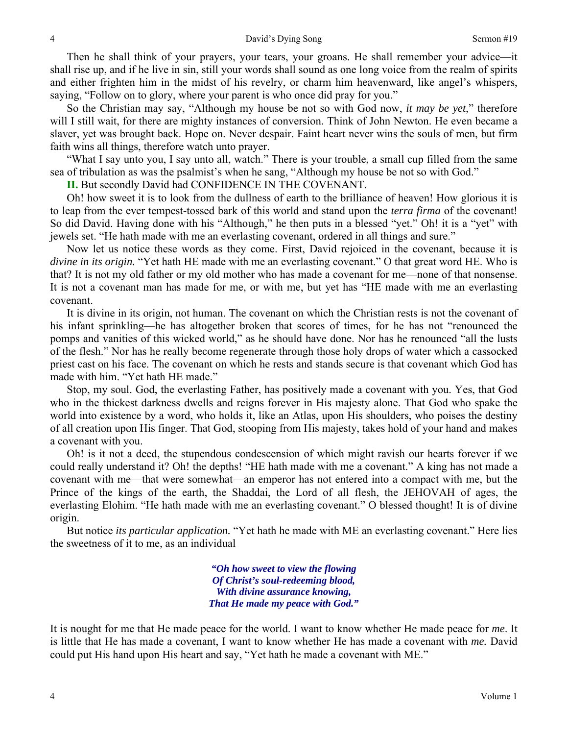Then he shall think of your prayers, your tears, your groans. He shall remember your advice—it shall rise up, and if he live in sin, still your words shall sound as one long voice from the realm of spirits and either frighten him in the midst of his revelry, or charm him heavenward, like angel's whispers, saying, "Follow on to glory, where your parent is who once did pray for you."

So the Christian may say, "Although my house be not so with God now, *it may be yet*," therefore will I still wait, for there are mighty instances of conversion. Think of John Newton. He even became a slaver, yet was brought back. Hope on. Never despair. Faint heart never wins the souls of men, but firm faith wins all things, therefore watch unto prayer.

"What I say unto you, I say unto all, watch." There is your trouble, a small cup filled from the same sea of tribulation as was the psalmist's when he sang, "Although my house be not so with God."

**II.** But secondly David had CONFIDENCE IN THE COVENANT*.* 

Oh! how sweet it is to look from the dullness of earth to the brilliance of heaven! How glorious it is to leap from the ever tempest-tossed bark of this world and stand upon the *terra firma* of the covenant! So did David. Having done with his "Although," he then puts in a blessed "yet." Oh! it is a "yet" with jewels set. "He hath made with me an everlasting covenant, ordered in all things and sure."

Now let us notice these words as they come. First, David rejoiced in the covenant, because it is *divine in its origin.* "Yet hath HE made with me an everlasting covenant." O that great word HE. Who is that? It is not my old father or my old mother who has made a covenant for me—none of that nonsense. It is not a covenant man has made for me, or with me, but yet has "HE made with me an everlasting covenant.

It is divine in its origin, not human. The covenant on which the Christian rests is not the covenant of his infant sprinkling—he has altogether broken that scores of times, for he has not "renounced the pomps and vanities of this wicked world," as he should have done. Nor has he renounced "all the lusts of the flesh." Nor has he really become regenerate through those holy drops of water which a cassocked priest cast on his face. The covenant on which he rests and stands secure is that covenant which God has made with him. "Yet hath HE made."

Stop, my soul. God, the everlasting Father, has positively made a covenant with you. Yes, that God who in the thickest darkness dwells and reigns forever in His majesty alone. That God who spake the world into existence by a word, who holds it, like an Atlas, upon His shoulders, who poises the destiny of all creation upon His finger. That God, stooping from His majesty, takes hold of your hand and makes a covenant with you.

Oh! is it not a deed, the stupendous condescension of which might ravish our hearts forever if we could really understand it? Oh! the depths! "HE hath made with me a covenant." A king has not made a covenant with me—that were somewhat—an emperor has not entered into a compact with me, but the Prince of the kings of the earth, the Shaddai, the Lord of all flesh, the JEHOVAH of ages, the everlasting Elohim. "He hath made with me an everlasting covenant." O blessed thought! It is of divine origin.

But notice *its particular application.* "Yet hath he made with ME an everlasting covenant." Here lies the sweetness of it to me, as an individual

> *"Oh how sweet to view the flowing Of Christ's soul-redeeming blood, With divine assurance knowing, That He made my peace with God."*

It is nought for me that He made peace for the world. I want to know whether He made peace for *me*. It is little that He has made a covenant, I want to know whether He has made a covenant with *me.* David could put His hand upon His heart and say, "Yet hath he made a covenant with ME."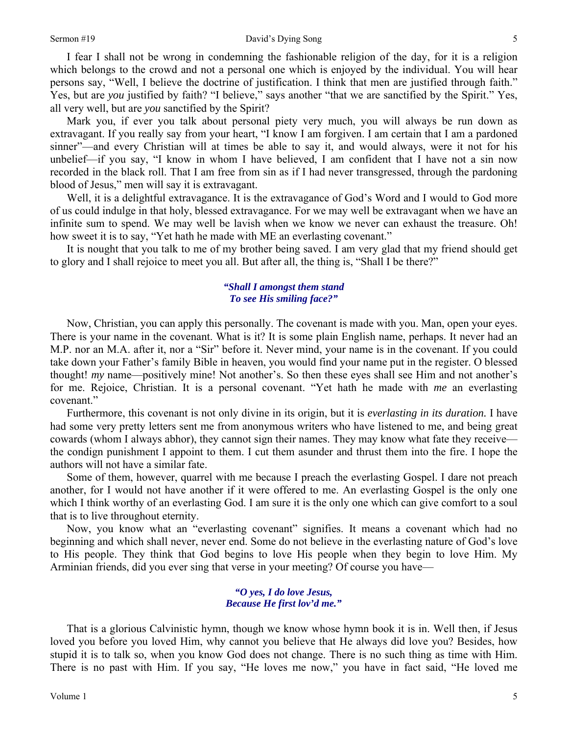#### Sermon #19 David's Dying Song

I fear I shall not be wrong in condemning the fashionable religion of the day, for it is a religion which belongs to the crowd and not a personal one which is enjoyed by the individual. You will hear persons say, "Well, I believe the doctrine of justification. I think that men are justified through faith." Yes, but are *you* justified by faith? "I believe," says another "that we are sanctified by the Spirit." Yes, all very well, but are *you* sanctified by the Spirit?

Mark you, if ever you talk about personal piety very much, you will always be run down as extravagant. If you really say from your heart, "I know I am forgiven. I am certain that I am a pardoned sinner"—and every Christian will at times be able to say it, and would always, were it not for his unbelief—if you say, "I know in whom I have believed, I am confident that I have not a sin now recorded in the black roll. That I am free from sin as if I had never transgressed, through the pardoning blood of Jesus," men will say it is extravagant.

Well, it is a delightful extravagance. It is the extravagance of God's Word and I would to God more of us could indulge in that holy, blessed extravagance. For we may well be extravagant when we have an infinite sum to spend. We may well be lavish when we know we never can exhaust the treasure. Oh! how sweet it is to say, "Yet hath he made with ME an everlasting covenant."

It is nought that you talk to me of my brother being saved. I am very glad that my friend should get to glory and I shall rejoice to meet you all. But after all, the thing is, "Shall I be there?"

#### *"Shall I amongst them stand To see His smiling face?"*

Now, Christian, you can apply this personally. The covenant is made with you. Man, open your eyes. There is your name in the covenant. What is it? It is some plain English name, perhaps. It never had an M.P. nor an M.A. after it, nor a "Sir" before it. Never mind, your name is in the covenant. If you could take down your Father's family Bible in heaven, you would find your name put in the register. O blessed thought! *my* name—positively mine! Not another's. So then these eyes shall see Him and not another's for me. Rejoice, Christian. It is a personal covenant. "Yet hath he made with *me* an everlasting covenant."

Furthermore, this covenant is not only divine in its origin, but it is *everlasting in its duration.* I have had some very pretty letters sent me from anonymous writers who have listened to me, and being great cowards (whom I always abhor), they cannot sign their names. They may know what fate they receive the condign punishment I appoint to them. I cut them asunder and thrust them into the fire. I hope the authors will not have a similar fate.

Some of them, however, quarrel with me because I preach the everlasting Gospel. I dare not preach another, for I would not have another if it were offered to me. An everlasting Gospel is the only one which I think worthy of an everlasting God. I am sure it is the only one which can give comfort to a soul that is to live throughout eternity.

Now, you know what an "everlasting covenant" signifies. It means a covenant which had no beginning and which shall never, never end. Some do not believe in the everlasting nature of God's love to His people. They think that God begins to love His people when they begin to love Him. My Arminian friends, did you ever sing that verse in your meeting? Of course you have—

#### *"O yes, I do love Jesus, Because He first lov'd me."*

That is a glorious Calvinistic hymn, though we know whose hymn book it is in. Well then, if Jesus loved you before you loved Him, why cannot you believe that He always did love you? Besides, how stupid it is to talk so, when you know God does not change. There is no such thing as time with Him. There is no past with Him. If you say, "He loves me now," you have in fact said, "He loved me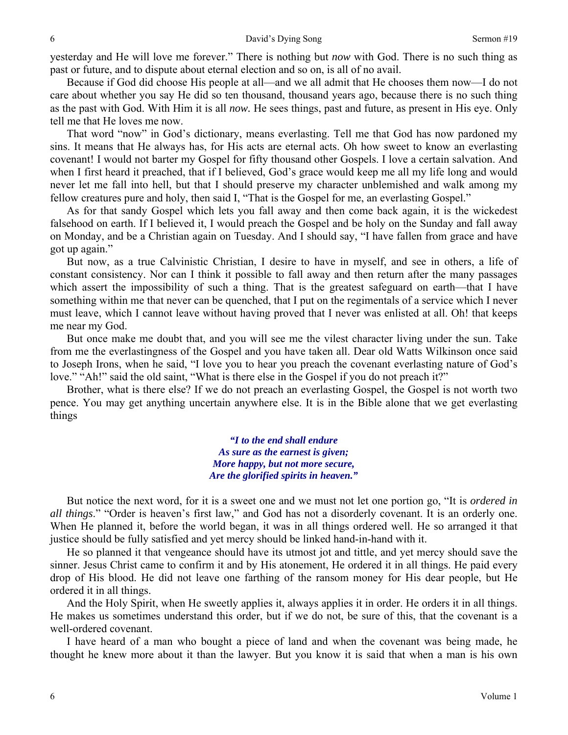yesterday and He will love me forever." There is nothing but *now* with God. There is no such thing as past or future, and to dispute about eternal election and so on, is all of no avail.

Because if God did choose His people at all—and we all admit that He chooses them now—I do not care about whether you say He did so ten thousand, thousand years ago, because there is no such thing as the past with God. With Him it is all *now.* He sees things, past and future, as present in His eye. Only tell me that He loves me now.

That word "now" in God's dictionary, means everlasting. Tell me that God has now pardoned my sins. It means that He always has, for His acts are eternal acts. Oh how sweet to know an everlasting covenant! I would not barter my Gospel for fifty thousand other Gospels. I love a certain salvation. And when I first heard it preached, that if I believed, God's grace would keep me all my life long and would never let me fall into hell, but that I should preserve my character unblemished and walk among my fellow creatures pure and holy, then said I, "That is the Gospel for me, an everlasting Gospel."

As for that sandy Gospel which lets you fall away and then come back again, it is the wickedest falsehood on earth. If I believed it, I would preach the Gospel and be holy on the Sunday and fall away on Monday, and be a Christian again on Tuesday. And I should say, "I have fallen from grace and have got up again."

But now, as a true Calvinistic Christian, I desire to have in myself, and see in others, a life of constant consistency. Nor can I think it possible to fall away and then return after the many passages which assert the impossibility of such a thing. That is the greatest safeguard on earth—that I have something within me that never can be quenched, that I put on the regimentals of a service which I never must leave, which I cannot leave without having proved that I never was enlisted at all. Oh! that keeps me near my God.

But once make me doubt that, and you will see me the vilest character living under the sun. Take from me the everlastingness of the Gospel and you have taken all. Dear old Watts Wilkinson once said to Joseph Irons, when he said, "I love you to hear you preach the covenant everlasting nature of God's love." "Ah!" said the old saint, "What is there else in the Gospel if you do not preach it?"

Brother, what is there else? If we do not preach an everlasting Gospel, the Gospel is not worth two pence. You may get anything uncertain anywhere else. It is in the Bible alone that we get everlasting things

> *"I to the end shall endure As sure as the earnest is given; More happy, but not more secure, Are the glorified spirits in heaven."*

But notice the next word, for it is a sweet one and we must not let one portion go, "It is *ordered in all things*." "Order is heaven's first law," and God has not a disorderly covenant. It is an orderly one. When He planned it, before the world began, it was in all things ordered well. He so arranged it that justice should be fully satisfied and yet mercy should be linked hand-in-hand with it.

He so planned it that vengeance should have its utmost jot and tittle, and yet mercy should save the sinner. Jesus Christ came to confirm it and by His atonement, He ordered it in all things. He paid every drop of His blood. He did not leave one farthing of the ransom money for His dear people, but He ordered it in all things.

And the Holy Spirit, when He sweetly applies it, always applies it in order. He orders it in all things. He makes us sometimes understand this order, but if we do not, be sure of this, that the covenant is a well-ordered covenant.

I have heard of a man who bought a piece of land and when the covenant was being made, he thought he knew more about it than the lawyer. But you know it is said that when a man is his own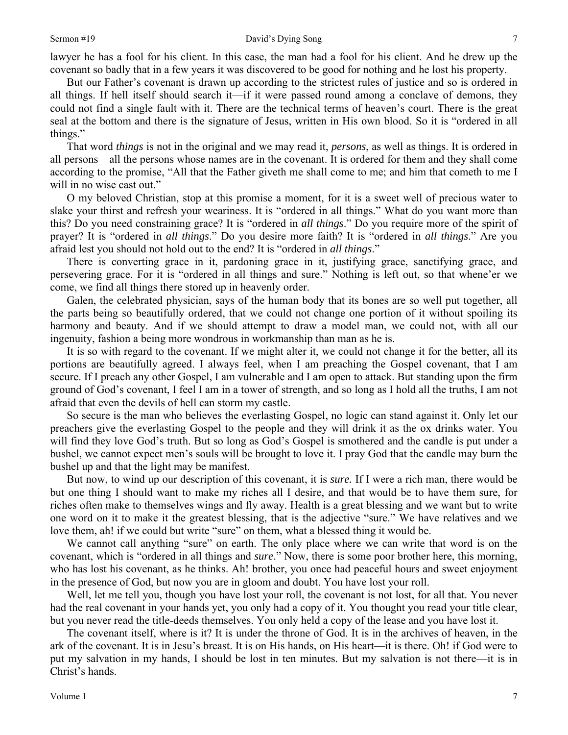lawyer he has a fool for his client. In this case, the man had a fool for his client. And he drew up the covenant so badly that in a few years it was discovered to be good for nothing and he lost his property.

But our Father's covenant is drawn up according to the strictest rules of justice and so is ordered in all things. If hell itself should search it—if it were passed round among a conclave of demons, they could not find a single fault with it. There are the technical terms of heaven's court. There is the great seal at the bottom and there is the signature of Jesus, written in His own blood. So it is "ordered in all things."

That word *things* is not in the original and we may read it, *persons*, as well as things. It is ordered in all persons—all the persons whose names are in the covenant. It is ordered for them and they shall come according to the promise, "All that the Father giveth me shall come to me; and him that cometh to me I will in no wise cast out."

O my beloved Christian, stop at this promise a moment, for it is a sweet well of precious water to slake your thirst and refresh your weariness. It is "ordered in all things." What do you want more than this? Do you need constraining grace? It is "ordered in *all things*." Do you require more of the spirit of prayer? It is "ordered in *all things*." Do you desire more faith? It is "ordered in *all things*." Are you afraid lest you should not hold out to the end? It is "ordered in *all things*."

There is converting grace in it, pardoning grace in it, justifying grace, sanctifying grace, and persevering grace. For it is "ordered in all things and sure." Nothing is left out, so that whene'er we come, we find all things there stored up in heavenly order.

Galen, the celebrated physician, says of the human body that its bones are so well put together, all the parts being so beautifully ordered, that we could not change one portion of it without spoiling its harmony and beauty. And if we should attempt to draw a model man, we could not, with all our ingenuity, fashion a being more wondrous in workmanship than man as he is.

It is so with regard to the covenant. If we might alter it, we could not change it for the better, all its portions are beautifully agreed. I always feel, when I am preaching the Gospel covenant, that I am secure. If I preach any other Gospel, I am vulnerable and I am open to attack. But standing upon the firm ground of God's covenant, I feel I am in a tower of strength, and so long as I hold all the truths, I am not afraid that even the devils of hell can storm my castle.

So secure is the man who believes the everlasting Gospel, no logic can stand against it. Only let our preachers give the everlasting Gospel to the people and they will drink it as the ox drinks water. You will find they love God's truth. But so long as God's Gospel is smothered and the candle is put under a bushel, we cannot expect men's souls will be brought to love it. I pray God that the candle may burn the bushel up and that the light may be manifest.

But now, to wind up our description of this covenant, it is *sure.* If I were a rich man, there would be but one thing I should want to make my riches all I desire, and that would be to have them sure, for riches often make to themselves wings and fly away. Health is a great blessing and we want but to write one word on it to make it the greatest blessing, that is the adjective "sure." We have relatives and we love them, ah! if we could but write "sure" on them, what a blessed thing it would be.

We cannot call anything "sure" on earth. The only place where we can write that word is on the covenant, which is "ordered in all things and *sure*." Now, there is some poor brother here, this morning, who has lost his covenant, as he thinks. Ah! brother, you once had peaceful hours and sweet enjoyment in the presence of God, but now you are in gloom and doubt. You have lost your roll.

Well, let me tell you, though you have lost your roll, the covenant is not lost, for all that. You never had the real covenant in your hands yet, you only had a copy of it. You thought you read your title clear, but you never read the title-deeds themselves. You only held a copy of the lease and you have lost it.

The covenant itself, where is it? It is under the throne of God. It is in the archives of heaven, in the ark of the covenant. It is in Jesu's breast. It is on His hands, on His heart—it is there. Oh! if God were to put my salvation in my hands, I should be lost in ten minutes. But my salvation is not there—it is in Christ's hands.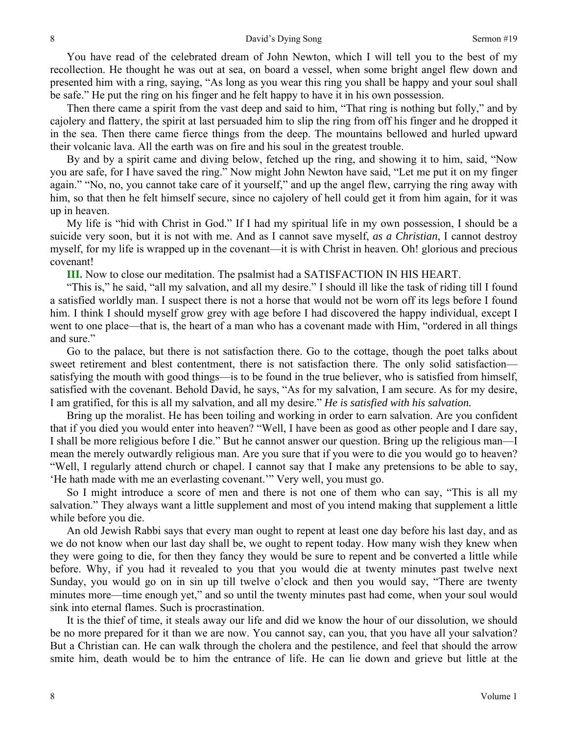You have read of the celebrated dream of John Newton, which I will tell you to the best of my recollection. He thought he was out at sea, on board a vessel, when some bright angel flew down and presented him with a ring, saying, "As long as you wear this ring you shall be happy and your soul shall be safe." He put the ring on his finger and he felt happy to have it in his own possession.

Then there came a spirit from the vast deep and said to him, "That ring is nothing but folly," and by cajolery and flattery, the spirit at last persuaded him to slip the ring from off his finger and he dropped it in the sea. Then there came fierce things from the deep. The mountains bellowed and hurled upward their volcanic lava. All the earth was on fire and his soul in the greatest trouble.

By and by a spirit came and diving below, fetched up the ring, and showing it to him, said, "Now you are safe, for I have saved the ring." Now might John Newton have said, "Let me put it on my finger again." "No, no, you cannot take care of it yourself," and up the angel flew, carrying the ring away with him, so that then he felt himself secure, since no cajolery of hell could get it from him again, for it was up in heaven.

My life is "hid with Christ in God." If I had my spiritual life in my own possession, I should be a suicide very soon, but it is not with me. And as I cannot save myself, *as a Christian*, I cannot destroy myself, for my life is wrapped up in the covenant—it is with Christ in heaven. Oh! glorious and precious covenant!

**III.** Now to close our meditation. The psalmist had a SATISFACTION IN HIS HEART.

"This is," he said, "all my salvation, and all my desire." I should ill like the task of riding till I found a satisfied worldly man. I suspect there is not a horse that would not be worn off its legs before I found him. I think I should myself grow grey with age before I had discovered the happy individual, except I went to one place—that is, the heart of a man who has a covenant made with Him, "ordered in all things and sure."

Go to the palace, but there is not satisfaction there. Go to the cottage, though the poet talks about sweet retirement and blest contentment, there is not satisfaction there. The only solid satisfaction satisfying the mouth with good things—is to be found in the true believer, who is satisfied from himself, satisfied with the covenant. Behold David, he says, "As for my salvation, I am secure. As for my desire, I am gratified, for this is all my salvation, and all my desire." *He is satisfied with his salvation.* 

Bring up the moralist. He has been toiling and working in order to earn salvation. Are you confident that if you died you would enter into heaven? "Well, I have been as good as other people and I dare say, I shall be more religious before I die." But he cannot answer our question. Bring up the religious man—I mean the merely outwardly religious man. Are you sure that if you were to die you would go to heaven? "Well, I regularly attend church or chapel. I cannot say that I make any pretensions to be able to say, 'He hath made with me an everlasting covenant.'" Very well, you must go.

So I might introduce a score of men and there is not one of them who can say, "This is all my salvation." They always want a little supplement and most of you intend making that supplement a little while before you die.

An old Jewish Rabbi says that every man ought to repent at least one day before his last day, and as we do not know when our last day shall be, we ought to repent today. How many wish they knew when they were going to die, for then they fancy they would be sure to repent and be converted a little while before. Why, if you had it revealed to you that you would die at twenty minutes past twelve next Sunday, you would go on in sin up till twelve o'clock and then you would say, "There are twenty minutes more—time enough yet," and so until the twenty minutes past had come, when your soul would sink into eternal flames. Such is procrastination.

It is the thief of time, it steals away our life and did we know the hour of our dissolution, we should be no more prepared for it than we are now. You cannot say, can you, that you have all your salvation? But a Christian can. He can walk through the cholera and the pestilence, and feel that should the arrow smite him, death would be to him the entrance of life. He can lie down and grieve but little at the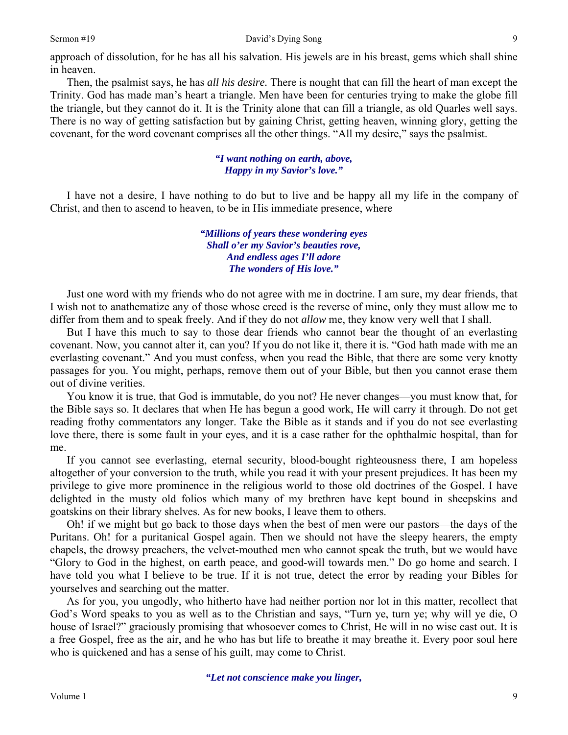#### Sermon #19 David's Dying Song

approach of dissolution, for he has all his salvation. His jewels are in his breast, gems which shall shine in heaven.

Then, the psalmist says, he has *all his desire.* There is nought that can fill the heart of man except the Trinity. God has made man's heart a triangle. Men have been for centuries trying to make the globe fill the triangle, but they cannot do it. It is the Trinity alone that can fill a triangle, as old Quarles well says. There is no way of getting satisfaction but by gaining Christ, getting heaven, winning glory, getting the covenant, for the word covenant comprises all the other things. "All my desire," says the psalmist.

### *"I want nothing on earth, above, Happy in my Savior's love."*

I have not a desire, I have nothing to do but to live and be happy all my life in the company of Christ, and then to ascend to heaven, to be in His immediate presence, where

> *"Millions of years these wondering eyes Shall o'er my Savior's beauties rove, And endless ages I'll adore The wonders of His love."*

Just one word with my friends who do not agree with me in doctrine. I am sure, my dear friends, that I wish not to anathematize any of those whose creed is the reverse of mine, only they must allow me to differ from them and to speak freely. And if they do not *allow* me, they know very well that I shall.

But I have this much to say to those dear friends who cannot bear the thought of an everlasting covenant. Now, you cannot alter it, can you? If you do not like it, there it is. "God hath made with me an everlasting covenant." And you must confess, when you read the Bible, that there are some very knotty passages for you. You might, perhaps, remove them out of your Bible, but then you cannot erase them out of divine verities.

You know it is true, that God is immutable, do you not? He never changes—you must know that, for the Bible says so. It declares that when He has begun a good work, He will carry it through. Do not get reading frothy commentators any longer. Take the Bible as it stands and if you do not see everlasting love there, there is some fault in your eyes, and it is a case rather for the ophthalmic hospital, than for me.

If you cannot see everlasting, eternal security, blood-bought righteousness there, I am hopeless altogether of your conversion to the truth, while you read it with your present prejudices. It has been my privilege to give more prominence in the religious world to those old doctrines of the Gospel. I have delighted in the musty old folios which many of my brethren have kept bound in sheepskins and goatskins on their library shelves. As for new books, I leave them to others.

Oh! if we might but go back to those days when the best of men were our pastors—the days of the Puritans. Oh! for a puritanical Gospel again. Then we should not have the sleepy hearers, the empty chapels, the drowsy preachers, the velvet-mouthed men who cannot speak the truth, but we would have "Glory to God in the highest, on earth peace, and good-will towards men." Do go home and search. I have told you what I believe to be true. If it is not true, detect the error by reading your Bibles for yourselves and searching out the matter.

As for you, you ungodly, who hitherto have had neither portion nor lot in this matter, recollect that God's Word speaks to you as well as to the Christian and says, "Turn ye, turn ye; why will ye die, O house of Israel?" graciously promising that whosoever comes to Christ, He will in no wise cast out. It is a free Gospel, free as the air, and he who has but life to breathe it may breathe it. Every poor soul here who is quickened and has a sense of his guilt, may come to Christ.

*"Let not conscience make you linger,* 

9